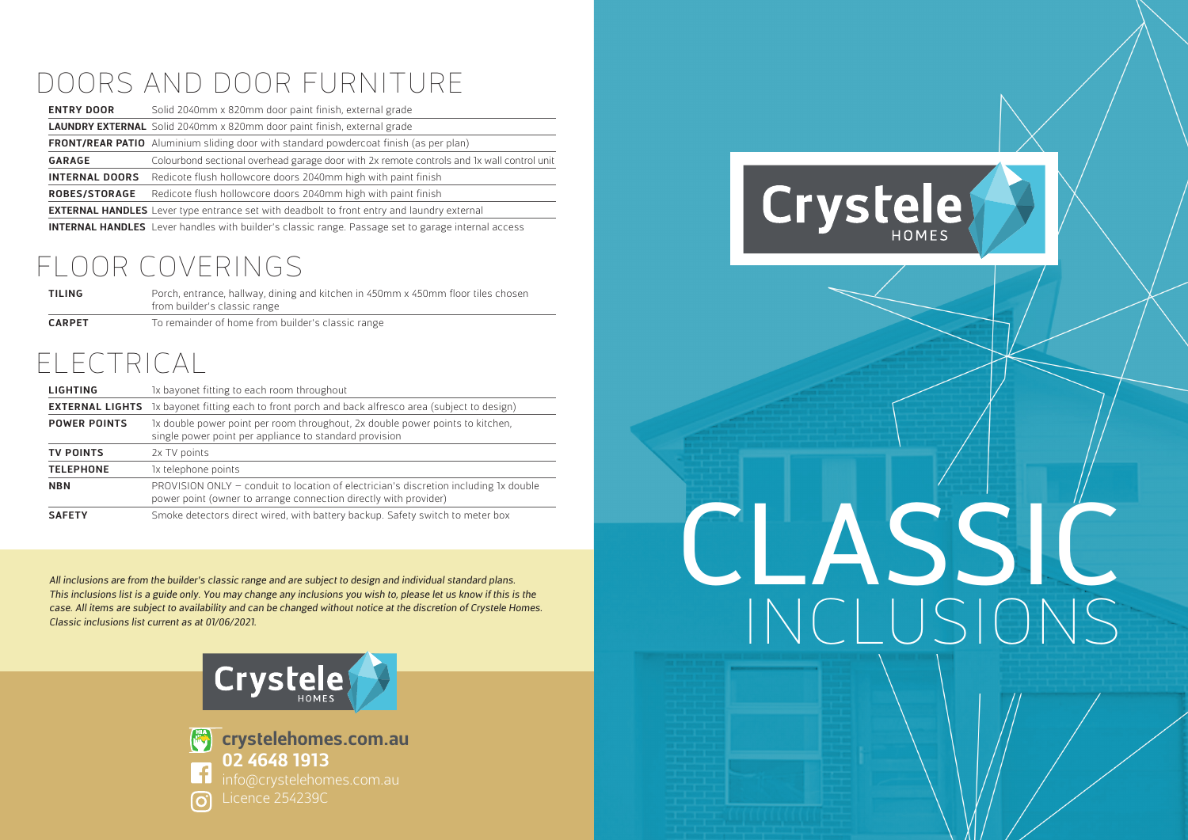#### DOORS AND DOOR FURNITURE

| <b>ENTRY DOOR</b>     | Solid 2040mm x 820mm door paint finish, external grade                                                                                                                                                                                                                                   |
|-----------------------|------------------------------------------------------------------------------------------------------------------------------------------------------------------------------------------------------------------------------------------------------------------------------------------|
|                       | <b>LAUNDRY EXTERNAL</b> Solid 2040mm x 820mm door paint finish, external grade                                                                                                                                                                                                           |
|                       | <b>FRONT/REAR PATIO</b> Aluminium sliding door with standard powdercoat finish (as per plan)                                                                                                                                                                                             |
| <b>GARAGE</b>         | Colourbond sectional overhead garage door with 2x remote controls and 1x wall control unit                                                                                                                                                                                               |
| <b>INTERNAL DOORS</b> | Redicote flush hollowcore doors 2040mm high with paint finish                                                                                                                                                                                                                            |
| <b>ROBES/STORAGE</b>  | Redicote flush hollowcore doors 2040mm high with paint finish                                                                                                                                                                                                                            |
|                       | <b>EXTERNAL HANDLES</b> Lever type entrance set with deadbolt to front entry and laundry external                                                                                                                                                                                        |
|                       | $\mathbf{r}$ , and $\mathbf{r}$ , and $\mathbf{r}$ , and $\mathbf{r}$ , and $\mathbf{r}$ , and $\mathbf{r}$ , and $\mathbf{r}$ , and $\mathbf{r}$ , and $\mathbf{r}$ , and $\mathbf{r}$ , and $\mathbf{r}$ , and $\mathbf{r}$ , and $\mathbf{r}$ , and $\mathbf{r}$ , and $\mathbf{r}$ , |

**INTERNAL HANDLES** Lever handles with builder's classic range. Passage set to garage internal access

#### FLOOR COVERINGS

| TILING        | Porch, entrance, hallway, dining and kitchen in 450mm x 450mm floor tiles chosen<br>from builder's classic range |
|---------------|------------------------------------------------------------------------------------------------------------------|
| <b>CARPET</b> | To remainder of home from builder's classic range                                                                |

#### ELECTRICAL

| <b>LIGHTING</b>     | 1x bayonet fitting to each room throughout                                                                                                               |
|---------------------|----------------------------------------------------------------------------------------------------------------------------------------------------------|
|                     | <b>EXTERNAL LIGHTS</b> 1x bayonet fitting each to front porch and back alfresco area (subject to design)                                                 |
| <b>POWER POINTS</b> | 1x double power point per room throughout, 2x double power points to kitchen,<br>single power point per appliance to standard provision                  |
| <b>TV POINTS</b>    | 2x TV points                                                                                                                                             |
| <b>TELEPHONE</b>    | 1x telephone points                                                                                                                                      |
| <b>NBN</b>          | PROVISION ONLY - conduit to location of electrician's discretion including 1x double<br>power point (owner to arrange connection directly with provider) |
| <b>SAFETY</b>       | Smoke detectors direct wired, with battery backup. Safety switch to meter box                                                                            |

All inclusions are from the builder's classic range and are subject to design and individual standard plans. This inclusions list is a guide only. You may change any inclusions you wish to, please let us know if this is the case. All items are subject to availability and can be changed without notice at the discretion of Crystele Homes. Classic inclusions list current as at 01/06/2021.





**crystelehomes.com.au 02 4648 1913**

### Crystele

## CLASSIC INCLUSIONS